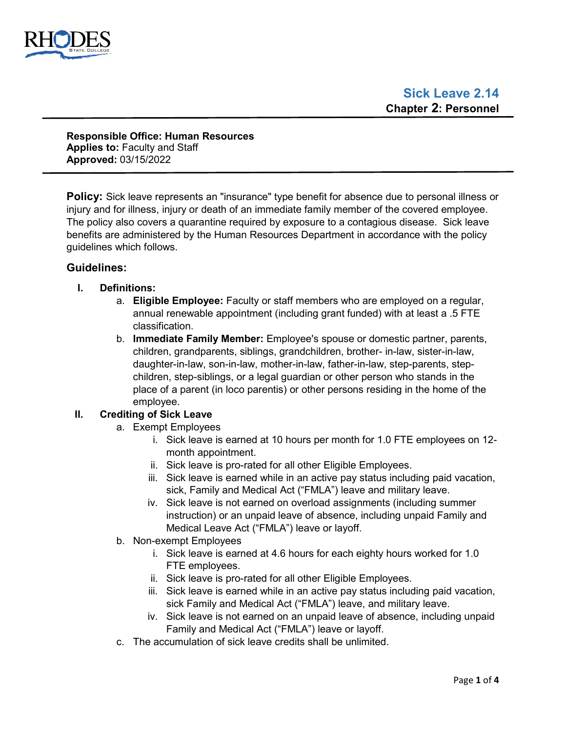

**Responsible Office: Human Resources Applies to:** Faculty and Staff **Approved:** 03/15/2022

**Policy:** Sick leave represents an "insurance" type benefit for absence due to personal illness or injury and for illness, injury or death of an immediate family member of the covered employee. The policy also covers a quarantine required by exposure to a contagious disease. Sick leave benefits are administered by the Human Resources Department in accordance with the policy guidelines which follows.

# **Guidelines:**

- **I. Definitions:**
	- a. **Eligible Employee:** Faculty or staff members who are employed on a regular, annual renewable appointment (including grant funded) with at least a .5 FTE classification.
	- b. **Immediate Family Member:** Employee's spouse or domestic partner, parents, children, grandparents, siblings, grandchildren, brother- in-law, sister-in-law, daughter-in-law, son-in-law, mother-in-law, father-in-law, step-parents, stepchildren, step-siblings, or a legal guardian or other person who stands in the place of a parent (in loco parentis) or other persons residing in the home of the employee.

# **II. Crediting of Sick Leave**

- a. Exempt Employees
	- i. Sick leave is earned at 10 hours per month for 1.0 FTE employees on 12 month appointment.
	- ii. Sick leave is pro-rated for all other Eligible Employees.
	- iii. Sick leave is earned while in an active pay status including paid vacation, sick, Family and Medical Act ("FMLA") leave and military leave.
	- iv. Sick leave is not earned on overload assignments (including summer instruction) or an unpaid leave of absence, including unpaid Family and Medical Leave Act ("FMLA") leave or layoff.
- b. Non-exempt Employees
	- i. Sick leave is earned at 4.6 hours for each eighty hours worked for 1.0 FTE employees.
	- ii. Sick leave is pro-rated for all other Eligible Employees.
	- iii. Sick leave is earned while in an active pay status including paid vacation, sick Family and Medical Act ("FMLA") leave, and military leave.
	- iv. Sick leave is not earned on an unpaid leave of absence, including unpaid Family and Medical Act ("FMLA") leave or layoff.
- c. The accumulation of sick leave credits shall be unlimited.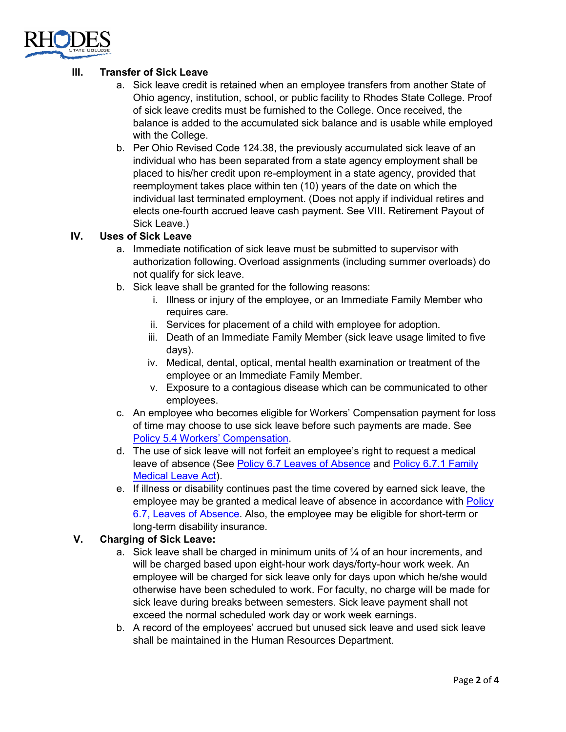

# **III. Transfer of Sick Leave**

- a. Sick leave credit is retained when an employee transfers from another State of Ohio agency, institution, school, or public facility to Rhodes State College. Proof of sick leave credits must be furnished to the College. Once received, the balance is added to the accumulated sick balance and is usable while employed with the College.
- b. Per Ohio Revised Code 124.38, the previously accumulated sick leave of an individual who has been separated from a state agency employment shall be placed to his/her credit upon re-employment in a state agency, provided that reemployment takes place within ten (10) years of the date on which the individual last terminated employment. (Does not apply if individual retires and elects one-fourth accrued leave cash payment. See VIII. Retirement Payout of Sick Leave.)

# **IV. Uses of Sick Leave**

- a. Immediate notification of sick leave must be submitted to supervisor with authorization following. Overload assignments (including summer overloads) do not qualify for sick leave.
- b. Sick leave shall be granted for the following reasons:
	- i. Illness or injury of the employee, or an Immediate Family Member who requires care.
	- ii. Services for placement of a child with employee for adoption.
	- iii. Death of an Immediate Family Member (sick leave usage limited to five days).
	- iv. Medical, dental, optical, mental health examination or treatment of the employee or an Immediate Family Member.
	- v. Exposure to a contagious disease which can be communicated to other employees.
- c. An employee who becomes eligible for Workers' Compensation payment for loss of time may choose to use sick leave before such payments are made. See [Policy 5.4 Workers'](https://www.rhodesstate.edu/human-resources/workers-compensation-policy-2.11.pdf) Compensation.
- d. The use of sick leave will not forfeit an employee's right to request a medical leave of absence (See Policy [6.7 Leaves of Absence](https://www.rhodesstate.edu/_files/documents/policies-and-procedures/leave-of-absence.pdf) and [Policy 6.7.1 Family](https://www.rhodesstate.edu/_files/documents/policies-and-procedures/family-and-medical-leave-act.pdf)  [Medical Leave Act\)](https://www.rhodesstate.edu/_files/documents/policies-and-procedures/family-and-medical-leave-act.pdf).
- e. If illness or disability continues past the time covered by earned sick leave, the employee may be granted a medical leave of absence in accordance with Policy [6.7, Leaves of Absence.](https://www.rhodesstate.edu/_files/documents/policies-and-procedures/leave-of-absence.pdf) Also, the employee may be eligible for short-term or long-term disability insurance.

# **V. Charging of Sick Leave:**

- a. Sick leave shall be charged in minimum units of  $\frac{1}{4}$  of an hour increments, and will be charged based upon eight-hour work days/forty-hour work week. An employee will be charged for sick leave only for days upon which he/she would otherwise have been scheduled to work. For faculty, no charge will be made for sick leave during breaks between semesters. Sick leave payment shall not exceed the normal scheduled work day or work week earnings.
- b. A record of the employees' accrued but unused sick leave and used sick leave shall be maintained in the Human Resources Department.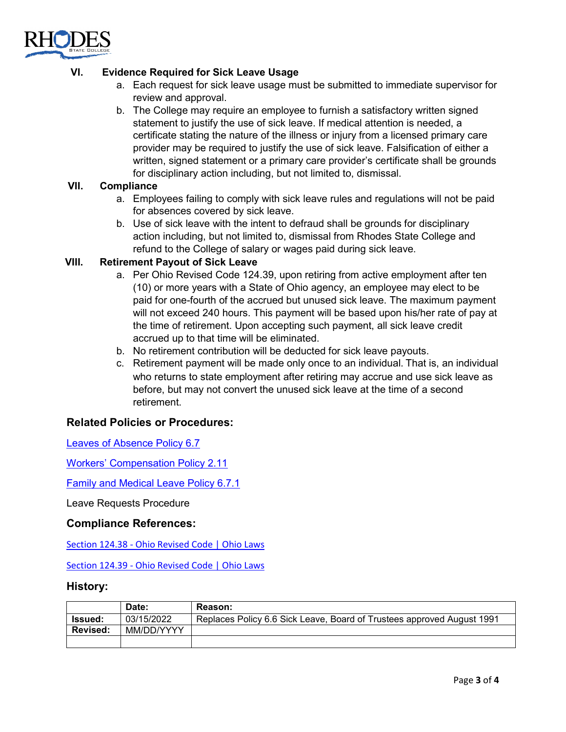

# **VI. Evidence Required for Sick Leave Usage**

- a. Each request for sick leave usage must be submitted to immediate supervisor for review and approval.
- b. The College may require an employee to furnish a satisfactory written signed statement to justify the use of sick leave. If medical attention is needed, a certificate stating the nature of the illness or injury from a licensed primary care provider may be required to justify the use of sick leave. Falsification of either a written, signed statement or a primary care provider's certificate shall be grounds for disciplinary action including, but not limited to, dismissal.

# **VII. Compliance**

- a. Employees failing to comply with sick leave rules and regulations will not be paid for absences covered by sick leave.
- b. Use of sick leave with the intent to defraud shall be grounds for disciplinary action including, but not limited to, dismissal from Rhodes State College and refund to the College of salary or wages paid during sick leave.

### **VIII. Retirement Payout of Sick Leave**

- a. Per Ohio Revised Code 124.39, upon retiring from active employment after ten (10) or more years with a State of Ohio agency, an employee may elect to be paid for one-fourth of the accrued but unused sick leave. The maximum payment will not exceed 240 hours. This payment will be based upon his/her rate of pay at the time of retirement. Upon accepting such payment, all sick leave credit accrued up to that time will be eliminated.
- b. No retirement contribution will be deducted for sick leave payouts.
- c. Retirement payment will be made only once to an individual. That is, an individual who returns to state employment after retiring may accrue and use sick leave as before, but may not convert the unused sick leave at the time of a second retirement.

# **Related Policies or Procedures:**

[Leaves of Absence](https://www.rhodesstate.edu/_files/documents/policies-and-procedures/leave-of-absence.pdf) Policy 6.7

[Workers' Compensation Policy](https://www.rhodesstate.edu/human-resources/workers-compensation-policy-2.11.pdf) 2.11

[Family and Medical Leave Policy 6.7.1](https://www.rhodesstate.edu/_files/documents/policies-and-procedures/family-and-medical-leave-act.pdf)

Leave Requests Procedure

### **Compliance References:**

Section 124.38 - [Ohio Revised Code | Ohio Laws](https://codes.ohio.gov/ohio-revised-code/section-124.38)

Section 124.39 - [Ohio Revised Code | Ohio Laws](https://codes.ohio.gov/ohio-revised-code/section-124.39)

### **History:**

|                 | Date:      | Reason:                                                                |
|-----------------|------------|------------------------------------------------------------------------|
| Issued:         | 03/15/2022 | Replaces Policy 6.6 Sick Leave, Board of Trustees approved August 1991 |
| <b>Revised:</b> | MM/DD/YYYY |                                                                        |
|                 |            |                                                                        |